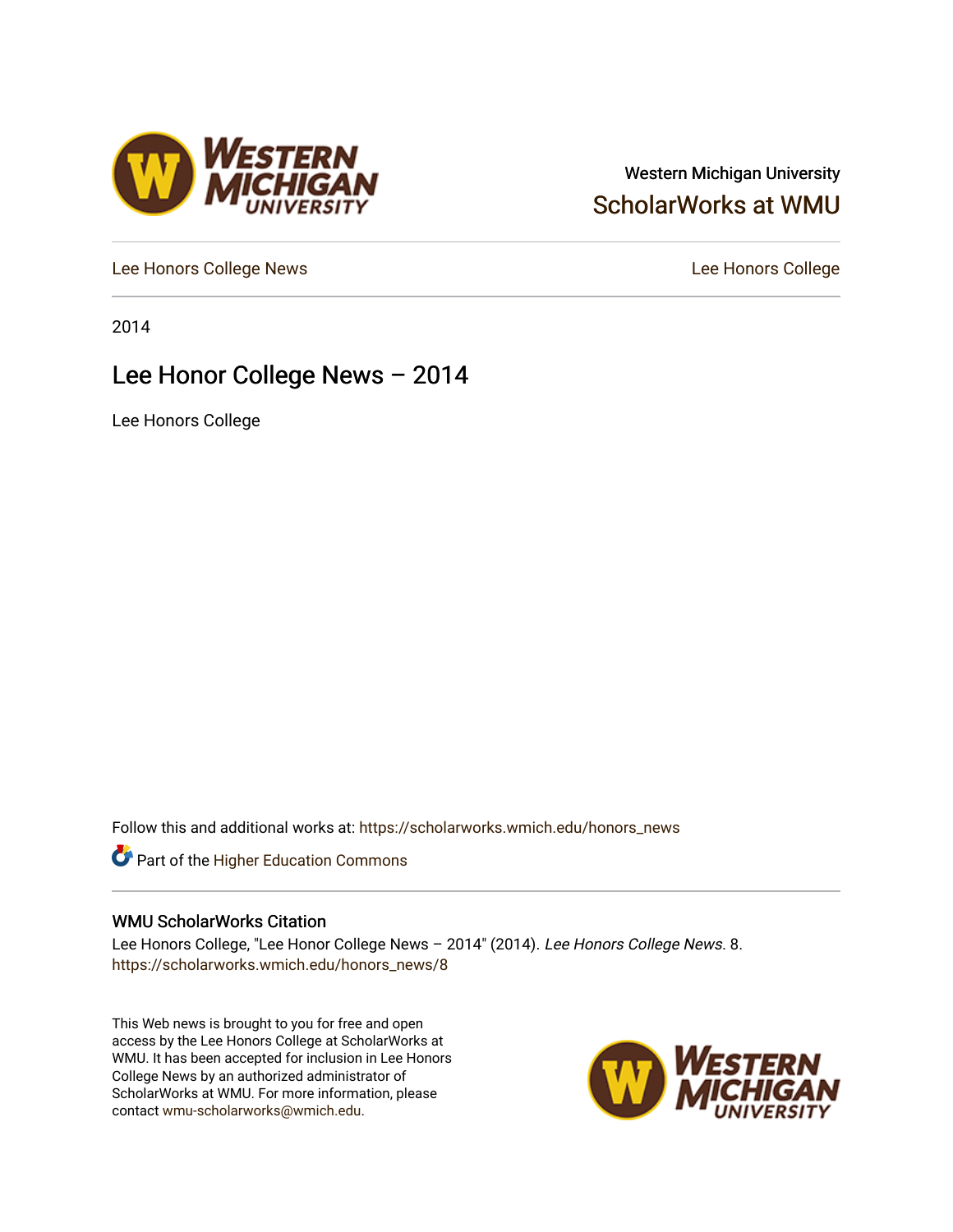### Western Michigan University [ScholarWorks at WMU](https://scholarworks.wmich.edu/)

[Lee Honors College News](https://scholarworks.wmich.edu/honors_news) **Lee Honors College** 

2014

### Lee Honor College News – 2014

**VESTERN<br>VICHIGAN** 

Lee Honors College

Follow this and additional works at: [https://scholarworks.wmich.edu/honors\\_news](https://scholarworks.wmich.edu/honors_news?utm_source=scholarworks.wmich.edu%2Fhonors_news%2F8&utm_medium=PDF&utm_campaign=PDFCoverPages)



#### WMU ScholarWorks Citation

Lee Honors College, "Lee Honor College News – 2014" (2014). Lee Honors College News. 8. [https://scholarworks.wmich.edu/honors\\_news/8](https://scholarworks.wmich.edu/honors_news/8?utm_source=scholarworks.wmich.edu%2Fhonors_news%2F8&utm_medium=PDF&utm_campaign=PDFCoverPages) 

This Web news is brought to you for free and open access by the Lee Honors College at ScholarWorks at WMU. It has been accepted for inclusion in Lee Honors College News by an authorized administrator of ScholarWorks at WMU. For more information, please contact [wmu-scholarworks@wmich.edu](mailto:wmu-scholarworks@wmich.edu).

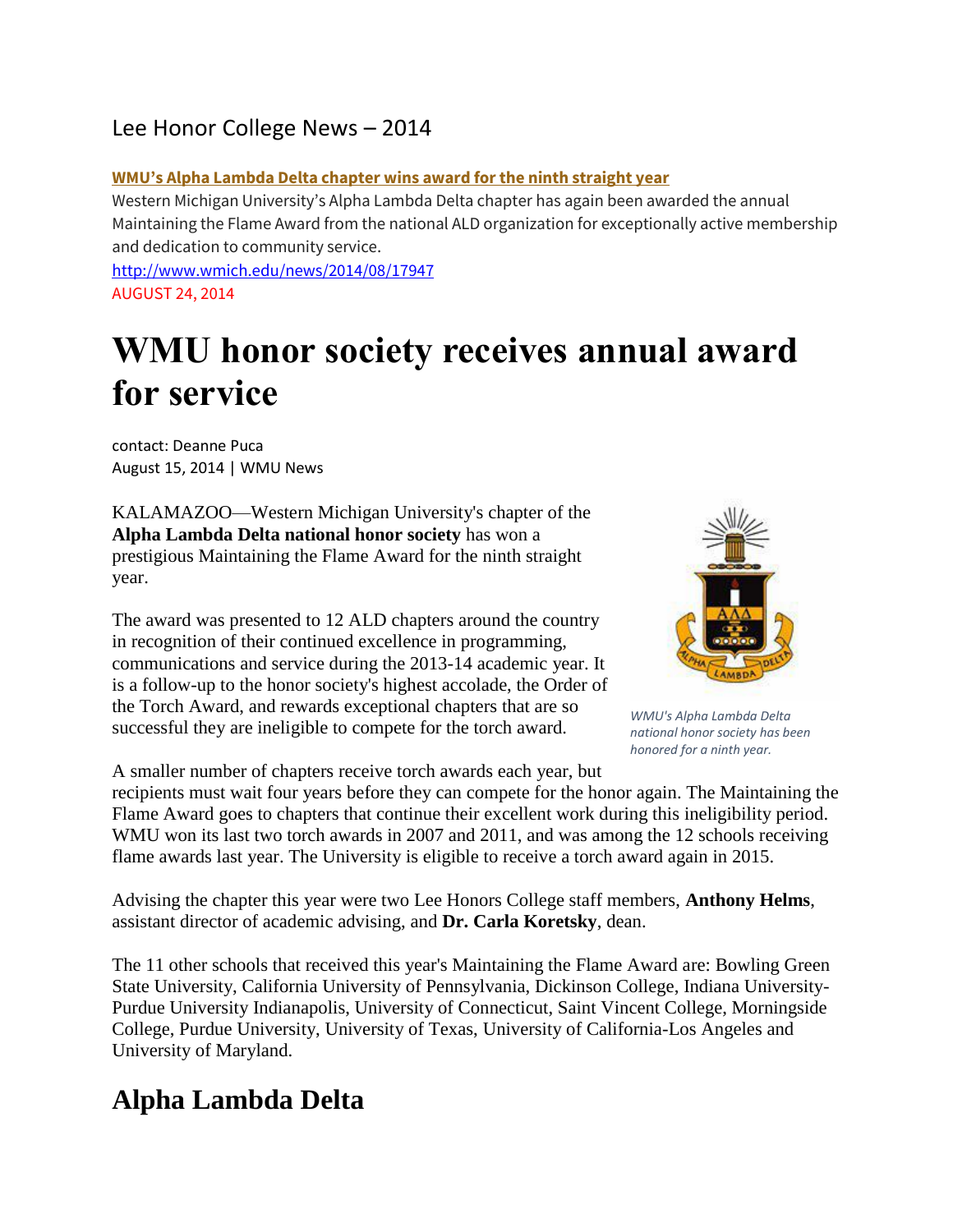### Lee Honor College News – 2014

#### **WMU's Alpha Lambda Delta chapter wins award for the ninth straight year**

Western Michigan University's Alpha Lambda Delta chapter has again been awarded the annual Maintaining the Flame Award from the national ALD organization for exceptionally active membership and dedication to community service.

<http://www.wmich.edu/news/2014/08/17947> AUGUST 24, 2014

# **WMU honor society receives annual award for service**

contact: Deanne Puca August 15, 2014 | WMU News

KALAMAZOO—Western Michigan University's chapter of the **Alpha Lambda Delta national honor society** has won a prestigious Maintaining the Flame Award for the ninth straight year.

The award was presented to 12 ALD chapters around the country in recognition of their continued excellence in programming, communications and service during the 2013-14 academic year. It is a follow-up to the honor society's highest accolade, the Order of the Torch Award, and rewards exceptional chapters that are so successful they are ineligible to compete for the torch award.

A smaller number of chapters receive torch awards each year, but



*WMU's Alpha Lambda Delta national honor society has been honored for a ninth year.*

recipients must wait four years before they can compete for the honor again. The Maintaining the Flame Award goes to chapters that continue their excellent work during this ineligibility period. WMU won its last two torch awards in 2007 and 2011, and was among the 12 schools receiving flame awards last year. The University is eligible to receive a torch award again in 2015.

Advising the chapter this year were two Lee Honors College staff members, **Anthony Helms**, assistant director of academic advising, and **Dr. Carla Koretsky**, dean.

The 11 other schools that received this year's Maintaining the Flame Award are: Bowling Green State University, California University of Pennsylvania, Dickinson College, Indiana University-Purdue University Indianapolis, University of Connecticut, Saint Vincent College, Morningside College, Purdue University, University of Texas, University of California-Los Angeles and University of Maryland.

# **Alpha Lambda Delta**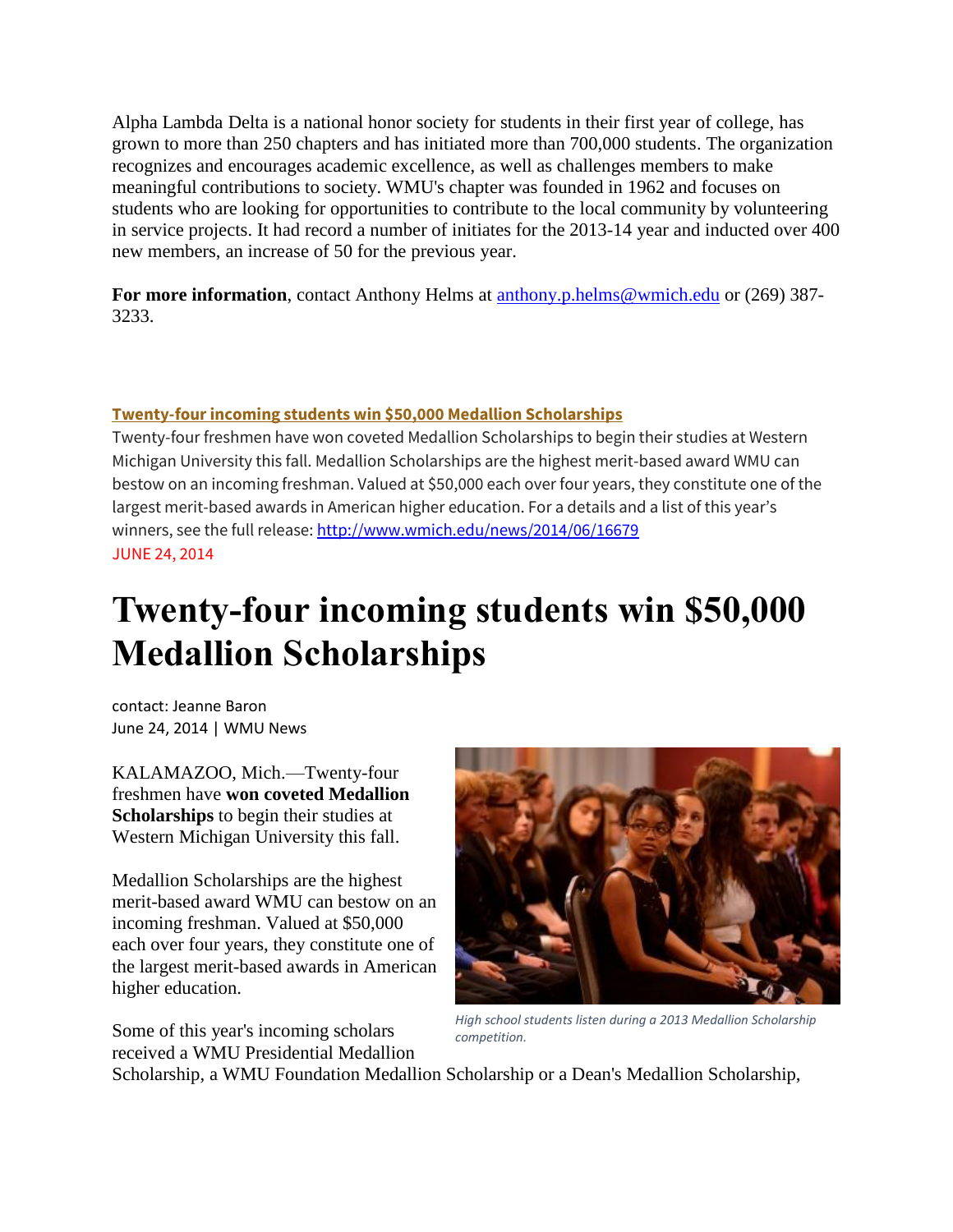Alpha Lambda Delta is a national honor society for students in their first year of college, has grown to more than 250 chapters and has initiated more than 700,000 students. The organization recognizes and encourages academic excellence, as well as challenges members to make meaningful contributions to society. WMU's chapter was founded in 1962 and focuses on students who are looking for opportunities to contribute to the local community by volunteering in service projects. It had record a number of initiates for the 2013-14 year and inducted over 400 new members, an increase of 50 for the previous year.

**For more information**, contact Anthony Helms at [anthony.p.helms@wmich.edu](mailto:anthony.p.helms@wmich.edu) or (269) 387- 3233.

#### **Twenty-four incoming students win \$50,000 Medallion Scholarships**

Twenty-four freshmen have won coveted Medallion Scholarships to begin their studies at Western Michigan University this fall. Medallion Scholarships are the highest merit-based award WMU can bestow on an incoming freshman. Valued at \$50,000 each over four years, they constitute one of the largest merit-based awards in American higher education. For a details and a list of this year's winners, see the full release[: http://www.wmich.edu/news/2014/06/16679](http://www.wmich.edu/news/2014/06/16679) JUNE 24, 2014

# **Twenty-four incoming students win \$50,000 Medallion Scholarships**

contact: Jeanne Baron June 24, 2014 | WMU News

KALAMAZOO, Mich.—Twenty-four freshmen have **won coveted Medallion Scholarships** to begin their studies at Western Michigan University this fall.

Medallion Scholarships are the highest merit-based award WMU can bestow on an incoming freshman. Valued at \$50,000 each over four years, they constitute one of the largest merit-based awards in American higher education.

Some of this year's incoming scholars received a WMU Presidential Medallion



*High school students listen during a 2013 Medallion Scholarship competition.*

Scholarship, a WMU Foundation Medallion Scholarship or a Dean's Medallion Scholarship,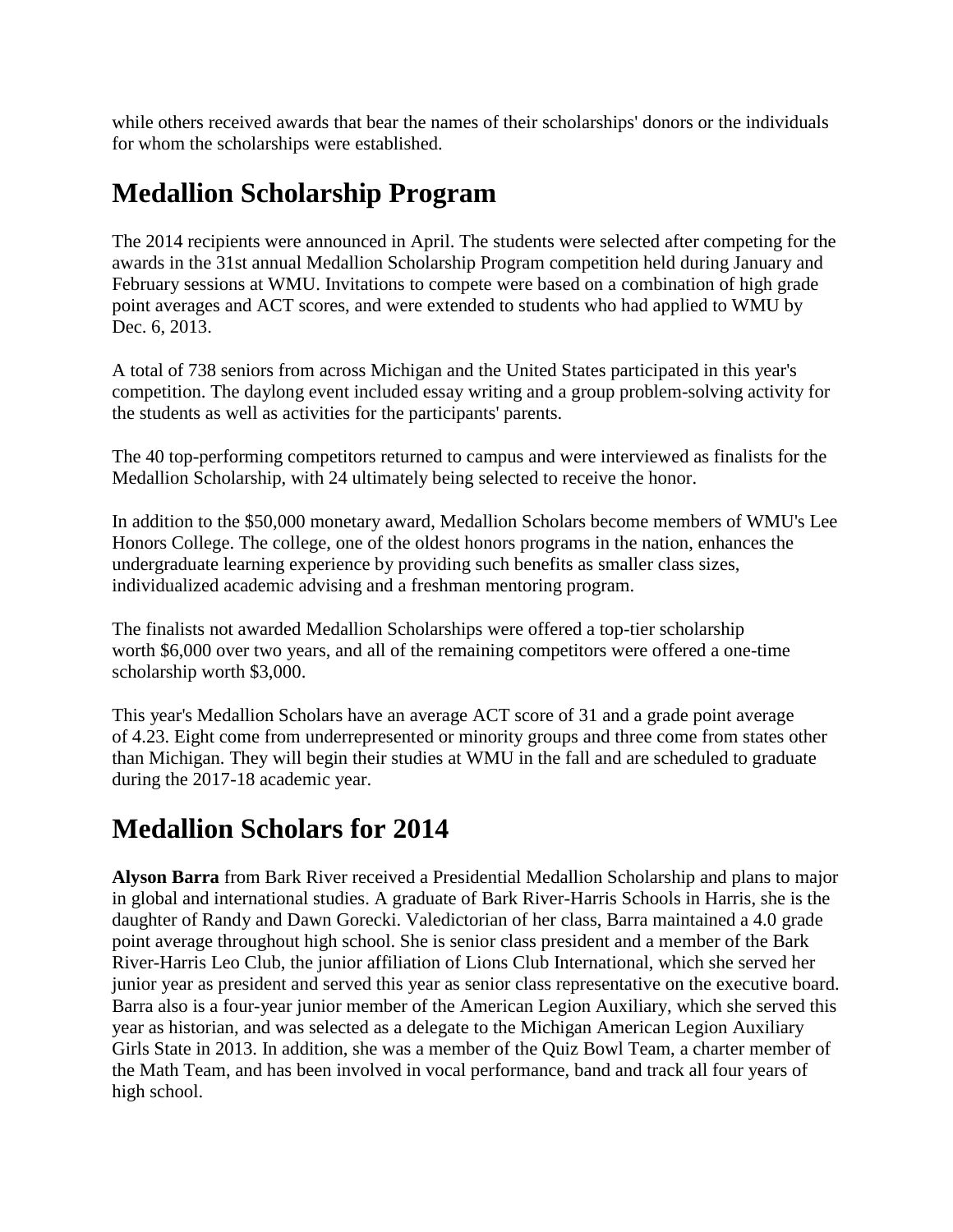while others received awards that bear the names of their scholarships' donors or the individuals for whom the scholarships were established.

## **Medallion Scholarship Program**

The 2014 recipients were announced in April. The students were selected after competing for the awards in the 31st annual Medallion Scholarship Program competition held during January and February sessions at WMU. Invitations to compete were based on a combination of high grade point averages and ACT scores, and were extended to students who had applied to WMU by Dec. 6, 2013.

A total of 738 seniors from across Michigan and the United States participated in this year's competition. The daylong event included essay writing and a group problem-solving activity for the students as well as activities for the participants' parents.

The 40 top-performing competitors returned to campus and were interviewed as finalists for the Medallion Scholarship, with 24 ultimately being selected to receive the honor.

In addition to the \$50,000 monetary award, Medallion Scholars become members of WMU's Lee Honors College. The college, one of the oldest honors programs in the nation, enhances the undergraduate learning experience by providing such benefits as smaller class sizes, individualized academic advising and a freshman mentoring program.

The finalists not awarded Medallion Scholarships were offered a top-tier scholarship worth \$6,000 over two years, and all of the remaining competitors were offered a one-time scholarship worth \$3,000.

This year's Medallion Scholars have an average ACT score of 31 and a grade point average of 4.23. Eight come from underrepresented or minority groups and three come from states other than Michigan. They will begin their studies at WMU in the fall and are scheduled to graduate during the 2017-18 academic year.

## **Medallion Scholars for 2014**

**Alyson Barra** from Bark River received a Presidential Medallion Scholarship and plans to major in global and international studies. A graduate of Bark River-Harris Schools in Harris, she is the daughter of Randy and Dawn Gorecki. Valedictorian of her class, Barra maintained a 4.0 grade point average throughout high school. She is senior class president and a member of the Bark River-Harris Leo Club, the junior affiliation of Lions Club International, which she served her junior year as president and served this year as senior class representative on the executive board. Barra also is a four-year junior member of the American Legion Auxiliary, which she served this year as historian, and was selected as a delegate to the Michigan American Legion Auxiliary Girls State in 2013. In addition, she was a member of the Quiz Bowl Team, a charter member of the Math Team, and has been involved in vocal performance, band and track all four years of high school.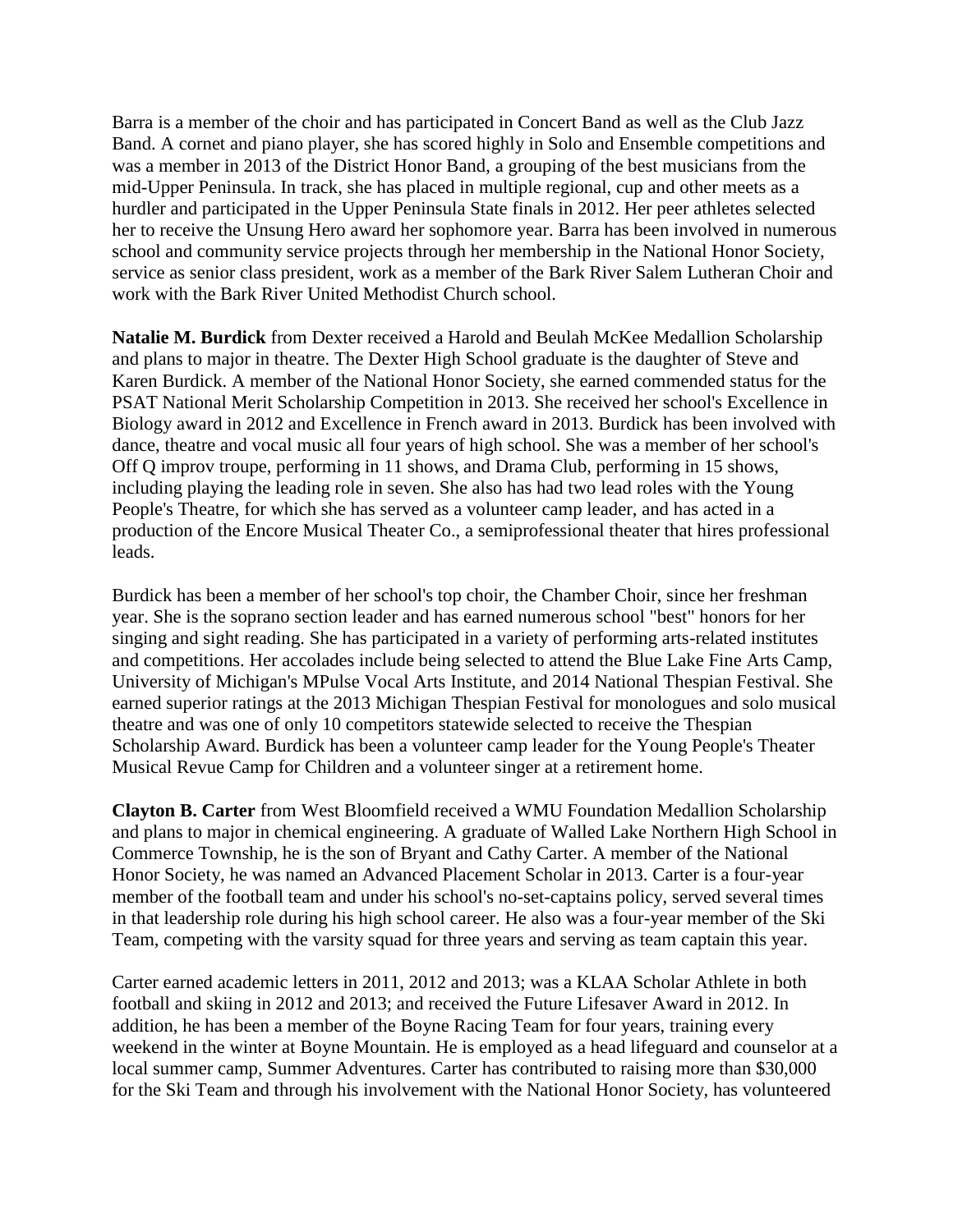Barra is a member of the choir and has participated in Concert Band as well as the Club Jazz Band. A cornet and piano player, she has scored highly in Solo and Ensemble competitions and was a member in 2013 of the District Honor Band, a grouping of the best musicians from the mid-Upper Peninsula. In track, she has placed in multiple regional, cup and other meets as a hurdler and participated in the Upper Peninsula State finals in 2012. Her peer athletes selected her to receive the Unsung Hero award her sophomore year. Barra has been involved in numerous school and community service projects through her membership in the National Honor Society, service as senior class president, work as a member of the Bark River Salem Lutheran Choir and work with the Bark River United Methodist Church school.

**Natalie M. Burdick** from Dexter received a Harold and Beulah McKee Medallion Scholarship and plans to major in theatre. The Dexter High School graduate is the daughter of Steve and Karen Burdick. A member of the National Honor Society, she earned commended status for the PSAT National Merit Scholarship Competition in 2013. She received her school's Excellence in Biology award in 2012 and Excellence in French award in 2013. Burdick has been involved with dance, theatre and vocal music all four years of high school. She was a member of her school's Off Q improv troupe, performing in 11 shows, and Drama Club, performing in 15 shows, including playing the leading role in seven. She also has had two lead roles with the Young People's Theatre, for which she has served as a volunteer camp leader, and has acted in a production of the Encore Musical Theater Co., a semiprofessional theater that hires professional leads.

Burdick has been a member of her school's top choir, the Chamber Choir, since her freshman year. She is the soprano section leader and has earned numerous school "best" honors for her singing and sight reading. She has participated in a variety of performing arts-related institutes and competitions. Her accolades include being selected to attend the Blue Lake Fine Arts Camp, University of Michigan's MPulse Vocal Arts Institute, and 2014 National Thespian Festival. She earned superior ratings at the 2013 Michigan Thespian Festival for monologues and solo musical theatre and was one of only 10 competitors statewide selected to receive the Thespian Scholarship Award. Burdick has been a volunteer camp leader for the Young People's Theater Musical Revue Camp for Children and a volunteer singer at a retirement home.

**Clayton B. Carter** from West Bloomfield received a WMU Foundation Medallion Scholarship and plans to major in chemical engineering. A graduate of Walled Lake Northern High School in Commerce Township, he is the son of Bryant and Cathy Carter. A member of the National Honor Society, he was named an Advanced Placement Scholar in 2013. Carter is a four-year member of the football team and under his school's no-set-captains policy, served several times in that leadership role during his high school career. He also was a four-year member of the Ski Team, competing with the varsity squad for three years and serving as team captain this year.

Carter earned academic letters in 2011, 2012 and 2013; was a KLAA Scholar Athlete in both football and skiing in 2012 and 2013; and received the Future Lifesaver Award in 2012. In addition, he has been a member of the Boyne Racing Team for four years, training every weekend in the winter at Boyne Mountain. He is employed as a head lifeguard and counselor at a local summer camp, Summer Adventures. Carter has contributed to raising more than \$30,000 for the Ski Team and through his involvement with the National Honor Society, has volunteered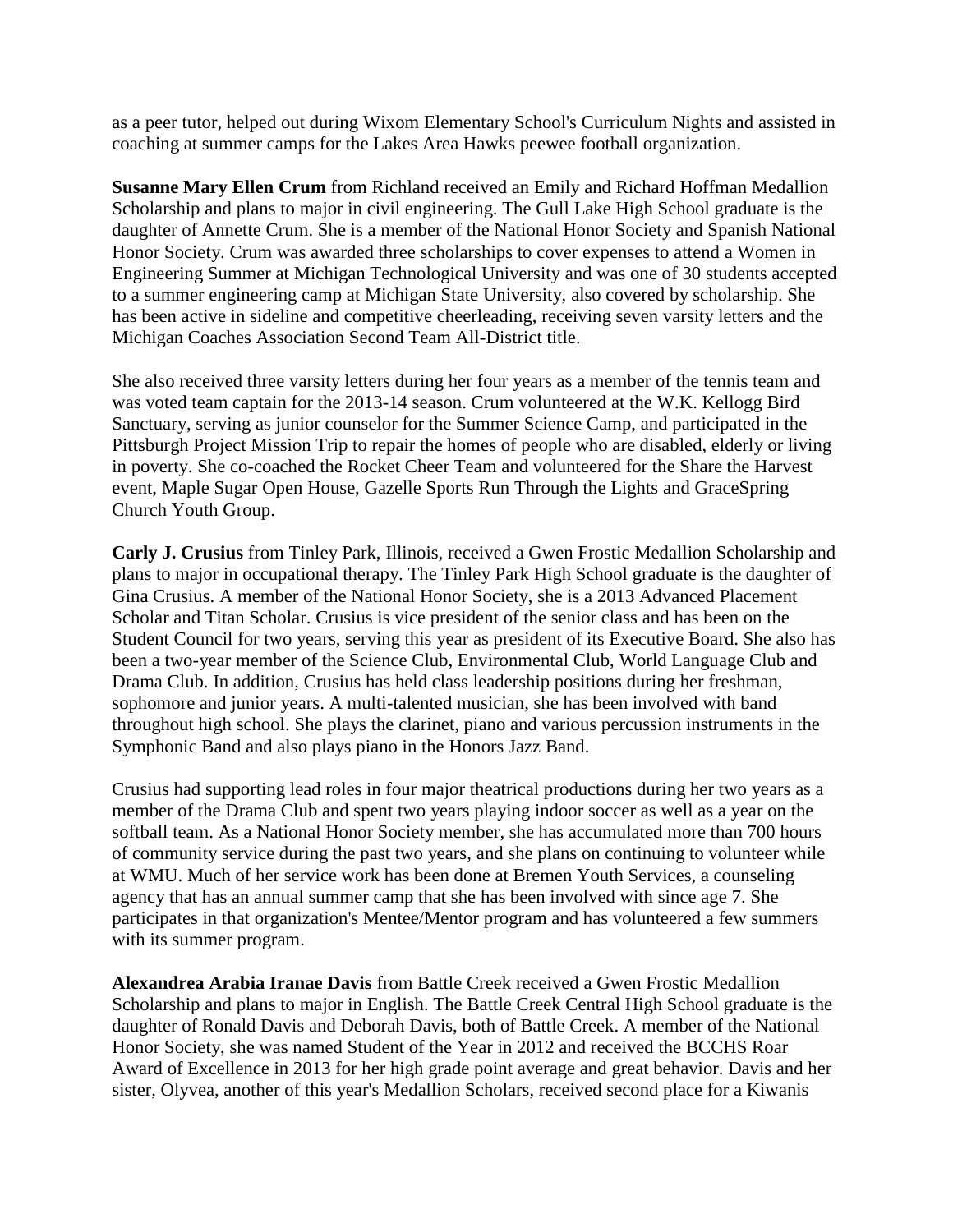as a peer tutor, helped out during Wixom Elementary School's Curriculum Nights and assisted in coaching at summer camps for the Lakes Area Hawks peewee football organization.

**Susanne Mary Ellen Crum** from Richland received an Emily and Richard Hoffman Medallion Scholarship and plans to major in civil engineering. The Gull Lake High School graduate is the daughter of Annette Crum. She is a member of the National Honor Society and Spanish National Honor Society. Crum was awarded three scholarships to cover expenses to attend a Women in Engineering Summer at Michigan Technological University and was one of 30 students accepted to a summer engineering camp at Michigan State University, also covered by scholarship. She has been active in sideline and competitive cheerleading, receiving seven varsity letters and the Michigan Coaches Association Second Team All-District title.

She also received three varsity letters during her four years as a member of the tennis team and was voted team captain for the 2013-14 season. Crum volunteered at the W.K. Kellogg Bird Sanctuary, serving as junior counselor for the Summer Science Camp, and participated in the Pittsburgh Project Mission Trip to repair the homes of people who are disabled, elderly or living in poverty. She co-coached the Rocket Cheer Team and volunteered for the Share the Harvest event, Maple Sugar Open House, Gazelle Sports Run Through the Lights and GraceSpring Church Youth Group.

**Carly J. Crusius** from Tinley Park, Illinois, received a Gwen Frostic Medallion Scholarship and plans to major in occupational therapy. The Tinley Park High School graduate is the daughter of Gina Crusius. A member of the National Honor Society, she is a 2013 Advanced Placement Scholar and Titan Scholar. Crusius is vice president of the senior class and has been on the Student Council for two years, serving this year as president of its Executive Board. She also has been a two-year member of the Science Club, Environmental Club, World Language Club and Drama Club. In addition, Crusius has held class leadership positions during her freshman, sophomore and junior years. A multi-talented musician, she has been involved with band throughout high school. She plays the clarinet, piano and various percussion instruments in the Symphonic Band and also plays piano in the Honors Jazz Band.

Crusius had supporting lead roles in four major theatrical productions during her two years as a member of the Drama Club and spent two years playing indoor soccer as well as a year on the softball team. As a National Honor Society member, she has accumulated more than 700 hours of community service during the past two years, and she plans on continuing to volunteer while at WMU. Much of her service work has been done at Bremen Youth Services, a counseling agency that has an annual summer camp that she has been involved with since age 7. She participates in that organization's Mentee/Mentor program and has volunteered a few summers with its summer program.

**Alexandrea Arabia Iranae Davis** from Battle Creek received a Gwen Frostic Medallion Scholarship and plans to major in English. The Battle Creek Central High School graduate is the daughter of Ronald Davis and Deborah Davis, both of Battle Creek. A member of the National Honor Society, she was named Student of the Year in 2012 and received the BCCHS Roar Award of Excellence in 2013 for her high grade point average and great behavior. Davis and her sister, Olyvea, another of this year's Medallion Scholars, received second place for a Kiwanis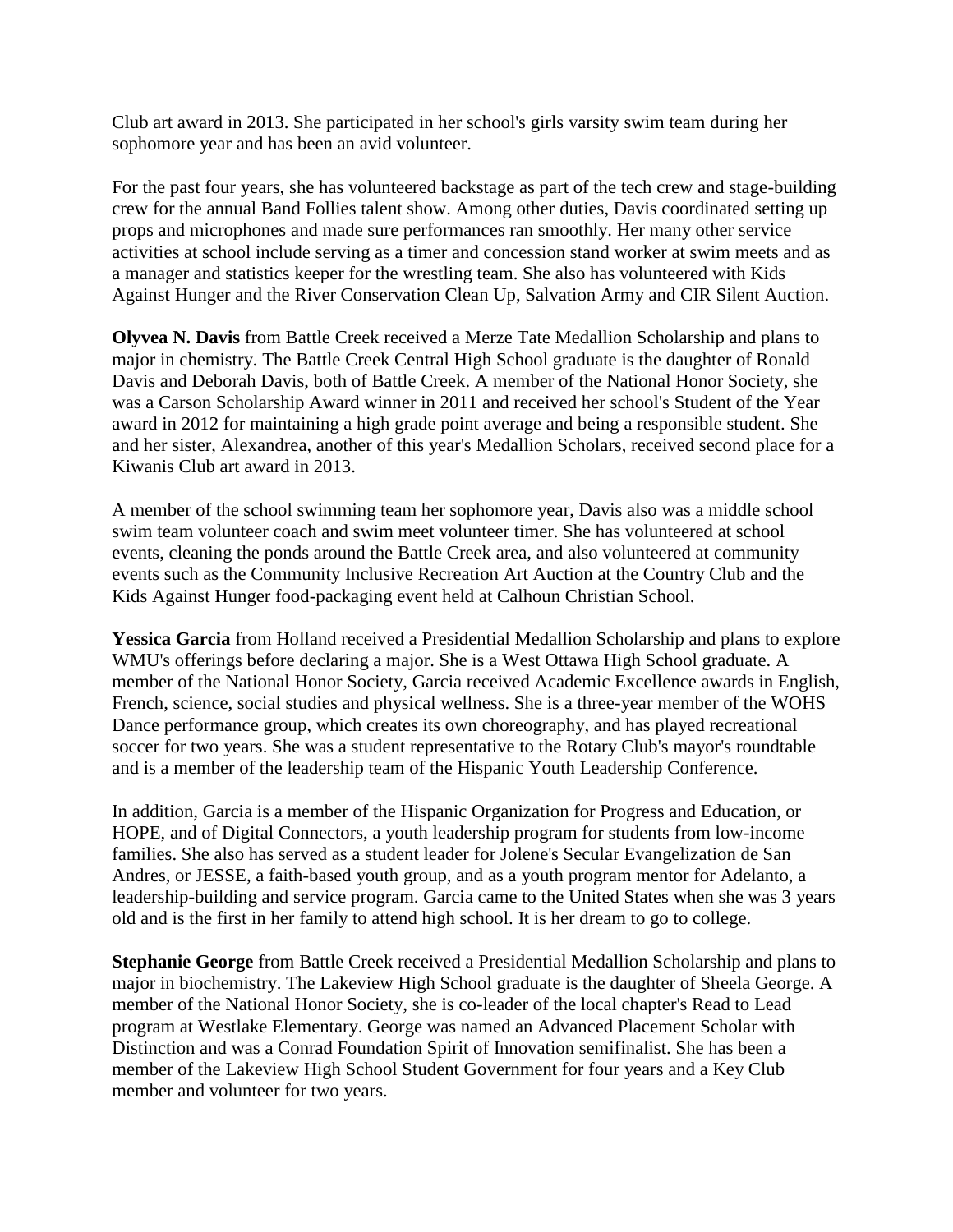Club art award in 2013. She participated in her school's girls varsity swim team during her sophomore year and has been an avid volunteer.

For the past four years, she has volunteered backstage as part of the tech crew and stage-building crew for the annual Band Follies talent show. Among other duties, Davis coordinated setting up props and microphones and made sure performances ran smoothly. Her many other service activities at school include serving as a timer and concession stand worker at swim meets and as a manager and statistics keeper for the wrestling team. She also has volunteered with Kids Against Hunger and the River Conservation Clean Up, Salvation Army and CIR Silent Auction.

**Olyvea N. Davis** from Battle Creek received a Merze Tate Medallion Scholarship and plans to major in chemistry. The Battle Creek Central High School graduate is the daughter of Ronald Davis and Deborah Davis, both of Battle Creek. A member of the National Honor Society, she was a Carson Scholarship Award winner in 2011 and received her school's Student of the Year award in 2012 for maintaining a high grade point average and being a responsible student. She and her sister, Alexandrea, another of this year's Medallion Scholars, received second place for a Kiwanis Club art award in 2013.

A member of the school swimming team her sophomore year, Davis also was a middle school swim team volunteer coach and swim meet volunteer timer. She has volunteered at school events, cleaning the ponds around the Battle Creek area, and also volunteered at community events such as the Community Inclusive Recreation Art Auction at the Country Club and the Kids Against Hunger food-packaging event held at Calhoun Christian School.

**Yessica Garcia** from Holland received a Presidential Medallion Scholarship and plans to explore WMU's offerings before declaring a major. She is a West Ottawa High School graduate. A member of the National Honor Society, Garcia received Academic Excellence awards in English, French, science, social studies and physical wellness. She is a three-year member of the WOHS Dance performance group, which creates its own choreography, and has played recreational soccer for two years. She was a student representative to the Rotary Club's mayor's roundtable and is a member of the leadership team of the Hispanic Youth Leadership Conference.

In addition, Garcia is a member of the Hispanic Organization for Progress and Education, or HOPE, and of Digital Connectors, a youth leadership program for students from low-income families. She also has served as a student leader for Jolene's Secular Evangelization de San Andres, or JESSE, a faith-based youth group, and as a youth program mentor for Adelanto, a leadership-building and service program. Garcia came to the United States when she was 3 years old and is the first in her family to attend high school. It is her dream to go to college.

**Stephanie George** from Battle Creek received a Presidential Medallion Scholarship and plans to major in biochemistry. The Lakeview High School graduate is the daughter of Sheela George. A member of the National Honor Society, she is co-leader of the local chapter's Read to Lead program at Westlake Elementary. George was named an Advanced Placement Scholar with Distinction and was a Conrad Foundation Spirit of Innovation semifinalist. She has been a member of the Lakeview High School Student Government for four years and a Key Club member and volunteer for two years.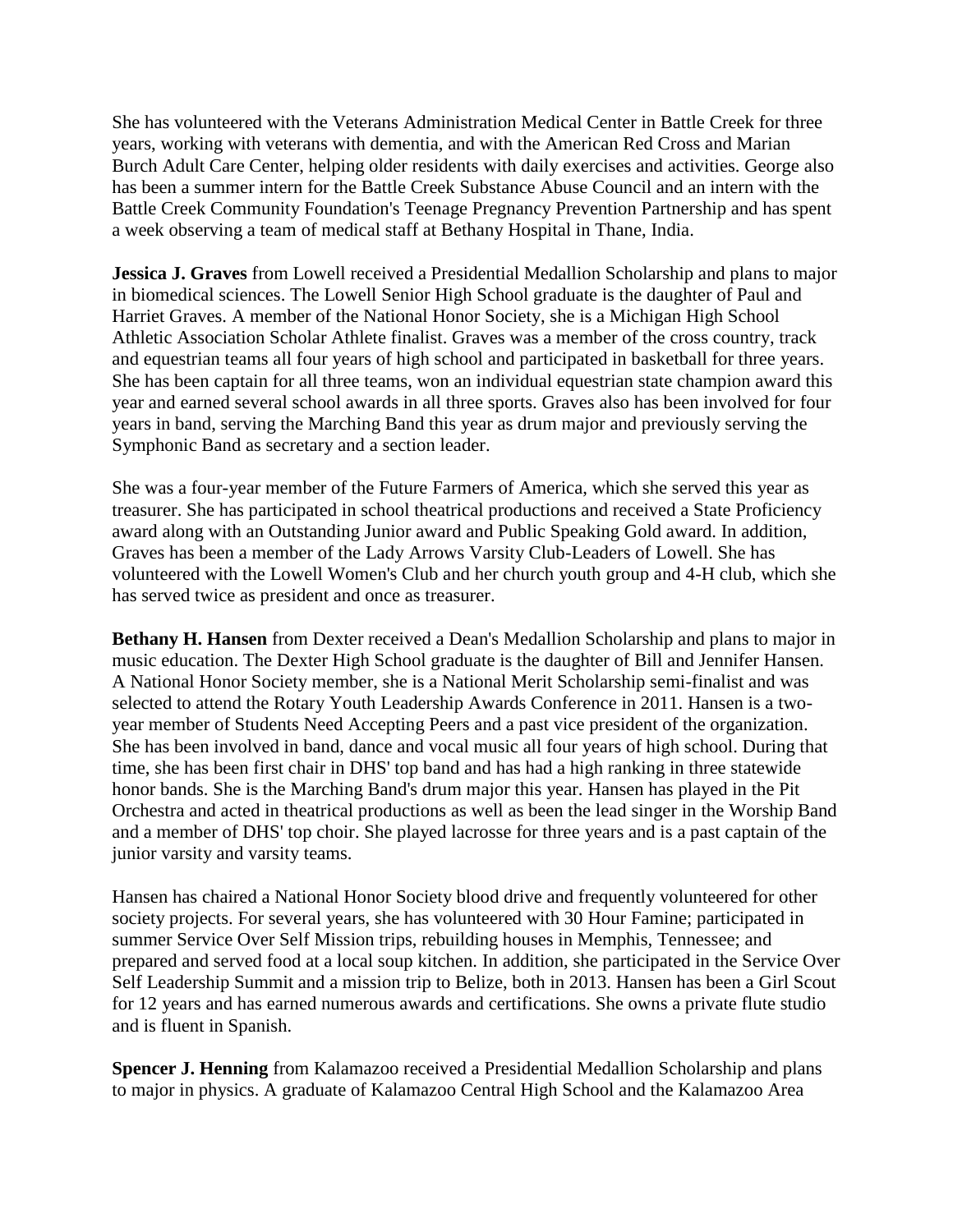She has volunteered with the Veterans Administration Medical Center in Battle Creek for three years, working with veterans with dementia, and with the American Red Cross and Marian Burch Adult Care Center, helping older residents with daily exercises and activities. George also has been a summer intern for the Battle Creek Substance Abuse Council and an intern with the Battle Creek Community Foundation's Teenage Pregnancy Prevention Partnership and has spent a week observing a team of medical staff at Bethany Hospital in Thane, India.

**Jessica J. Graves** from Lowell received a Presidential Medallion Scholarship and plans to major in biomedical sciences. The Lowell Senior High School graduate is the daughter of Paul and Harriet Graves. A member of the National Honor Society, she is a Michigan High School Athletic Association Scholar Athlete finalist. Graves was a member of the cross country, track and equestrian teams all four years of high school and participated in basketball for three years. She has been captain for all three teams, won an individual equestrian state champion award this year and earned several school awards in all three sports. Graves also has been involved for four years in band, serving the Marching Band this year as drum major and previously serving the Symphonic Band as secretary and a section leader.

She was a four-year member of the Future Farmers of America, which she served this year as treasurer. She has participated in school theatrical productions and received a State Proficiency award along with an Outstanding Junior award and Public Speaking Gold award. In addition, Graves has been a member of the Lady Arrows Varsity Club-Leaders of Lowell. She has volunteered with the Lowell Women's Club and her church youth group and 4-H club, which she has served twice as president and once as treasurer.

**Bethany H. Hansen** from Dexter received a Dean's Medallion Scholarship and plans to major in music education. The Dexter High School graduate is the daughter of Bill and Jennifer Hansen. A National Honor Society member, she is a National Merit Scholarship semi-finalist and was selected to attend the Rotary Youth Leadership Awards Conference in 2011. Hansen is a twoyear member of Students Need Accepting Peers and a past vice president of the organization. She has been involved in band, dance and vocal music all four years of high school. During that time, she has been first chair in DHS' top band and has had a high ranking in three statewide honor bands. She is the Marching Band's drum major this year. Hansen has played in the Pit Orchestra and acted in theatrical productions as well as been the lead singer in the Worship Band and a member of DHS' top choir. She played lacrosse for three years and is a past captain of the junior varsity and varsity teams.

Hansen has chaired a National Honor Society blood drive and frequently volunteered for other society projects. For several years, she has volunteered with 30 Hour Famine; participated in summer Service Over Self Mission trips, rebuilding houses in Memphis, Tennessee; and prepared and served food at a local soup kitchen. In addition, she participated in the Service Over Self Leadership Summit and a mission trip to Belize, both in 2013. Hansen has been a Girl Scout for 12 years and has earned numerous awards and certifications. She owns a private flute studio and is fluent in Spanish.

**Spencer J. Henning** from Kalamazoo received a Presidential Medallion Scholarship and plans to major in physics. A graduate of Kalamazoo Central High School and the Kalamazoo Area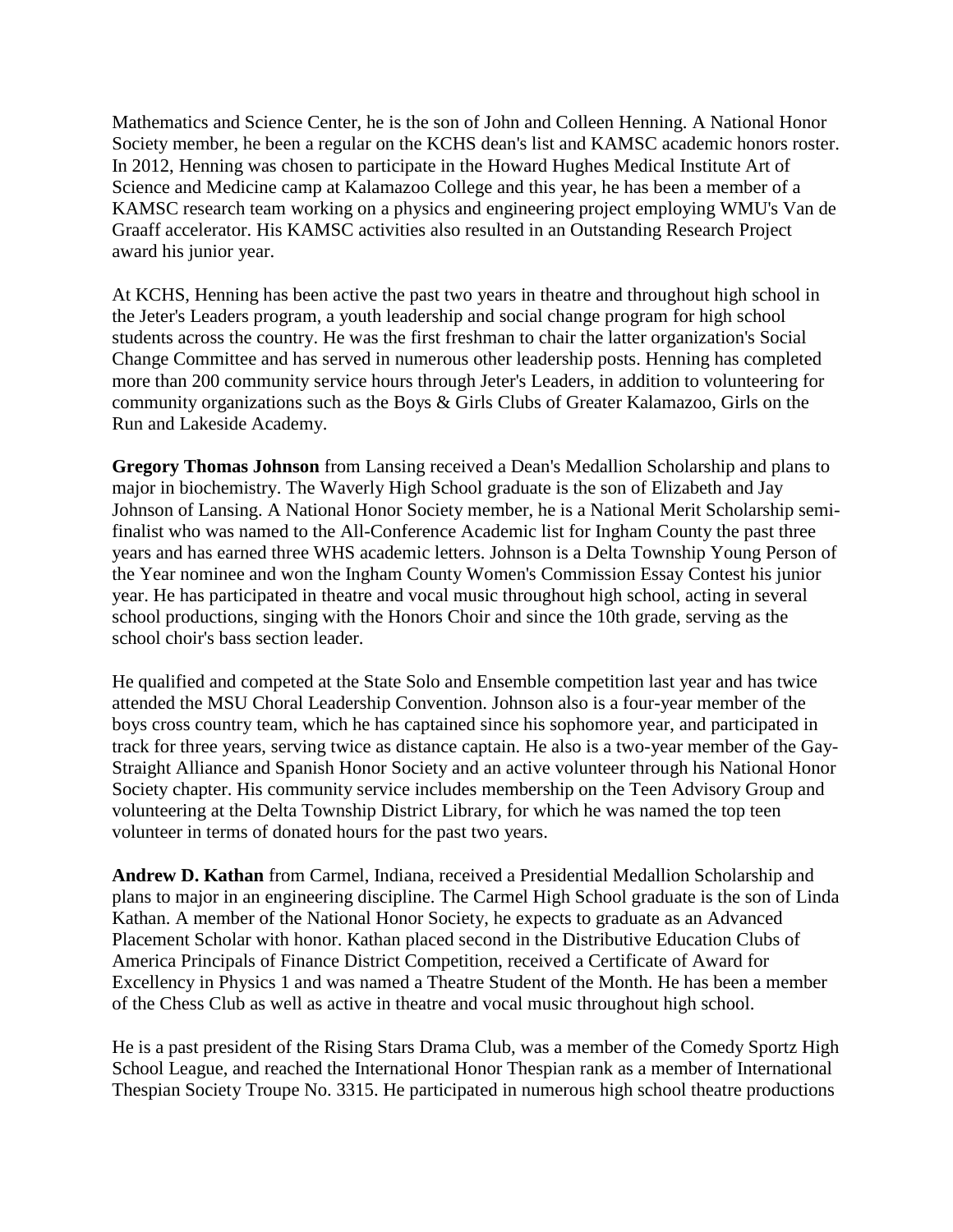Mathematics and Science Center, he is the son of John and Colleen Henning. A National Honor Society member, he been a regular on the KCHS dean's list and KAMSC academic honors roster. In 2012, Henning was chosen to participate in the Howard Hughes Medical Institute Art of Science and Medicine camp at Kalamazoo College and this year, he has been a member of a KAMSC research team working on a physics and engineering project employing WMU's Van de Graaff accelerator. His KAMSC activities also resulted in an Outstanding Research Project award his junior year.

At KCHS, Henning has been active the past two years in theatre and throughout high school in the Jeter's Leaders program, a youth leadership and social change program for high school students across the country. He was the first freshman to chair the latter organization's Social Change Committee and has served in numerous other leadership posts. Henning has completed more than 200 community service hours through Jeter's Leaders, in addition to volunteering for community organizations such as the Boys & Girls Clubs of Greater Kalamazoo, Girls on the Run and Lakeside Academy.

**Gregory Thomas Johnson** from Lansing received a Dean's Medallion Scholarship and plans to major in biochemistry. The Waverly High School graduate is the son of Elizabeth and Jay Johnson of Lansing. A National Honor Society member, he is a National Merit Scholarship semifinalist who was named to the All-Conference Academic list for Ingham County the past three years and has earned three WHS academic letters. Johnson is a Delta Township Young Person of the Year nominee and won the Ingham County Women's Commission Essay Contest his junior year. He has participated in theatre and vocal music throughout high school, acting in several school productions, singing with the Honors Choir and since the 10th grade, serving as the school choir's bass section leader.

He qualified and competed at the State Solo and Ensemble competition last year and has twice attended the MSU Choral Leadership Convention. Johnson also is a four-year member of the boys cross country team, which he has captained since his sophomore year, and participated in track for three years, serving twice as distance captain. He also is a two-year member of the Gay-Straight Alliance and Spanish Honor Society and an active volunteer through his National Honor Society chapter. His community service includes membership on the Teen Advisory Group and volunteering at the Delta Township District Library, for which he was named the top teen volunteer in terms of donated hours for the past two years.

**Andrew D. Kathan** from Carmel, Indiana, received a Presidential Medallion Scholarship and plans to major in an engineering discipline. The Carmel High School graduate is the son of Linda Kathan. A member of the National Honor Society, he expects to graduate as an Advanced Placement Scholar with honor. Kathan placed second in the Distributive Education Clubs of America Principals of Finance District Competition, received a Certificate of Award for Excellency in Physics 1 and was named a Theatre Student of the Month. He has been a member of the Chess Club as well as active in theatre and vocal music throughout high school.

He is a past president of the Rising Stars Drama Club, was a member of the Comedy Sportz High School League, and reached the International Honor Thespian rank as a member of International Thespian Society Troupe No. 3315. He participated in numerous high school theatre productions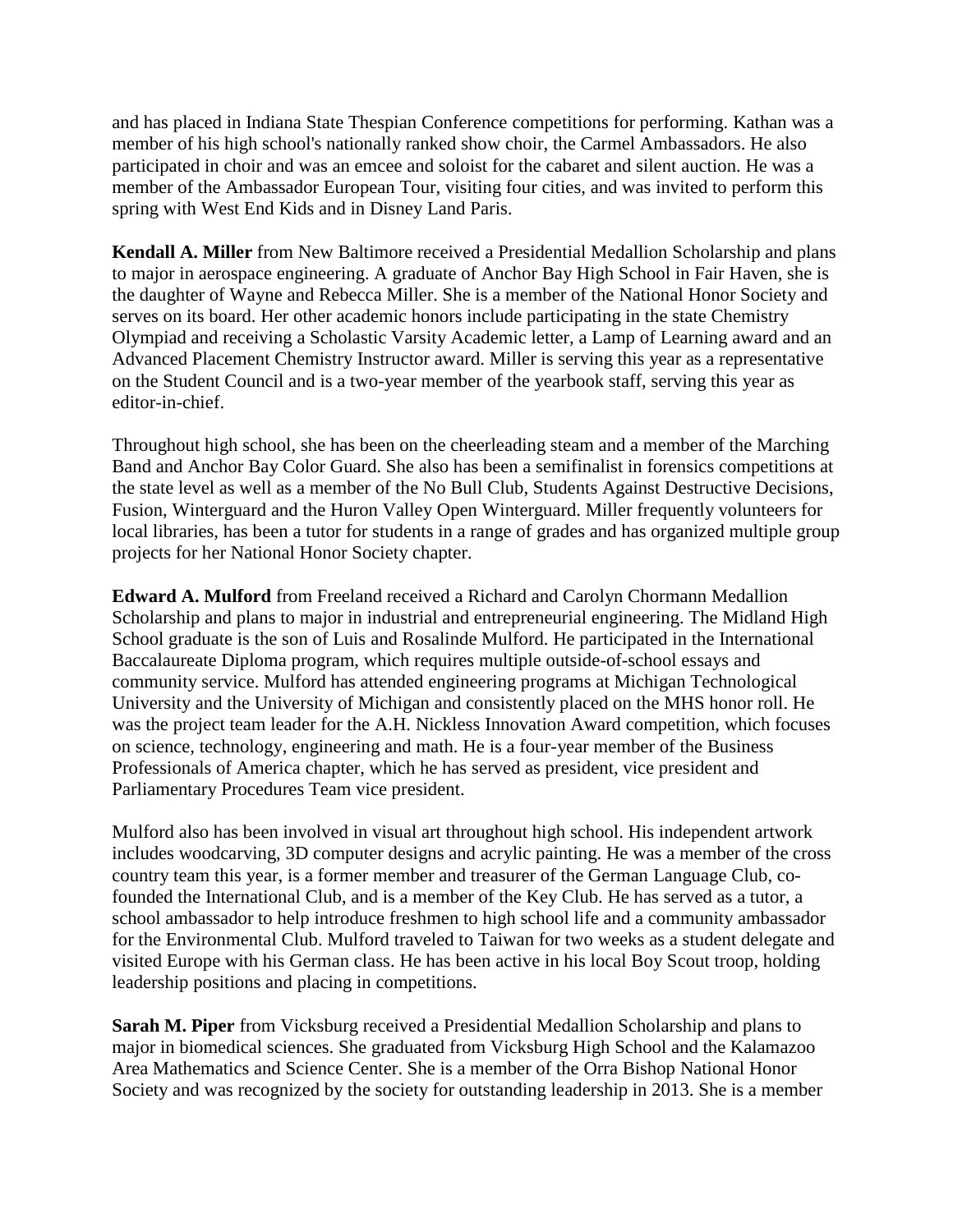and has placed in Indiana State Thespian Conference competitions for performing. Kathan was a member of his high school's nationally ranked show choir, the Carmel Ambassadors. He also participated in choir and was an emcee and soloist for the cabaret and silent auction. He was a member of the Ambassador European Tour, visiting four cities, and was invited to perform this spring with West End Kids and in Disney Land Paris.

**Kendall A. Miller** from New Baltimore received a Presidential Medallion Scholarship and plans to major in aerospace engineering. A graduate of Anchor Bay High School in Fair Haven, she is the daughter of Wayne and Rebecca Miller. She is a member of the National Honor Society and serves on its board. Her other academic honors include participating in the state Chemistry Olympiad and receiving a Scholastic Varsity Academic letter, a Lamp of Learning award and an Advanced Placement Chemistry Instructor award. Miller is serving this year as a representative on the Student Council and is a two-year member of the yearbook staff, serving this year as editor-in-chief.

Throughout high school, she has been on the cheerleading steam and a member of the Marching Band and Anchor Bay Color Guard. She also has been a semifinalist in forensics competitions at the state level as well as a member of the No Bull Club, Students Against Destructive Decisions, Fusion, Winterguard and the Huron Valley Open Winterguard. Miller frequently volunteers for local libraries, has been a tutor for students in a range of grades and has organized multiple group projects for her National Honor Society chapter.

**Edward A. Mulford** from Freeland received a Richard and Carolyn Chormann Medallion Scholarship and plans to major in industrial and entrepreneurial engineering. The Midland High School graduate is the son of Luis and Rosalinde Mulford. He participated in the International Baccalaureate Diploma program, which requires multiple outside-of-school essays and community service. Mulford has attended engineering programs at Michigan Technological University and the University of Michigan and consistently placed on the MHS honor roll. He was the project team leader for the A.H. Nickless Innovation Award competition, which focuses on science, technology, engineering and math. He is a four-year member of the Business Professionals of America chapter, which he has served as president, vice president and Parliamentary Procedures Team vice president.

Mulford also has been involved in visual art throughout high school. His independent artwork includes woodcarving, 3D computer designs and acrylic painting. He was a member of the cross country team this year, is a former member and treasurer of the German Language Club, cofounded the International Club, and is a member of the Key Club. He has served as a tutor, a school ambassador to help introduce freshmen to high school life and a community ambassador for the Environmental Club. Mulford traveled to Taiwan for two weeks as a student delegate and visited Europe with his German class. He has been active in his local Boy Scout troop, holding leadership positions and placing in competitions.

**Sarah M. Piper** from Vicksburg received a Presidential Medallion Scholarship and plans to major in biomedical sciences. She graduated from Vicksburg High School and the Kalamazoo Area Mathematics and Science Center. She is a member of the Orra Bishop National Honor Society and was recognized by the society for outstanding leadership in 2013. She is a member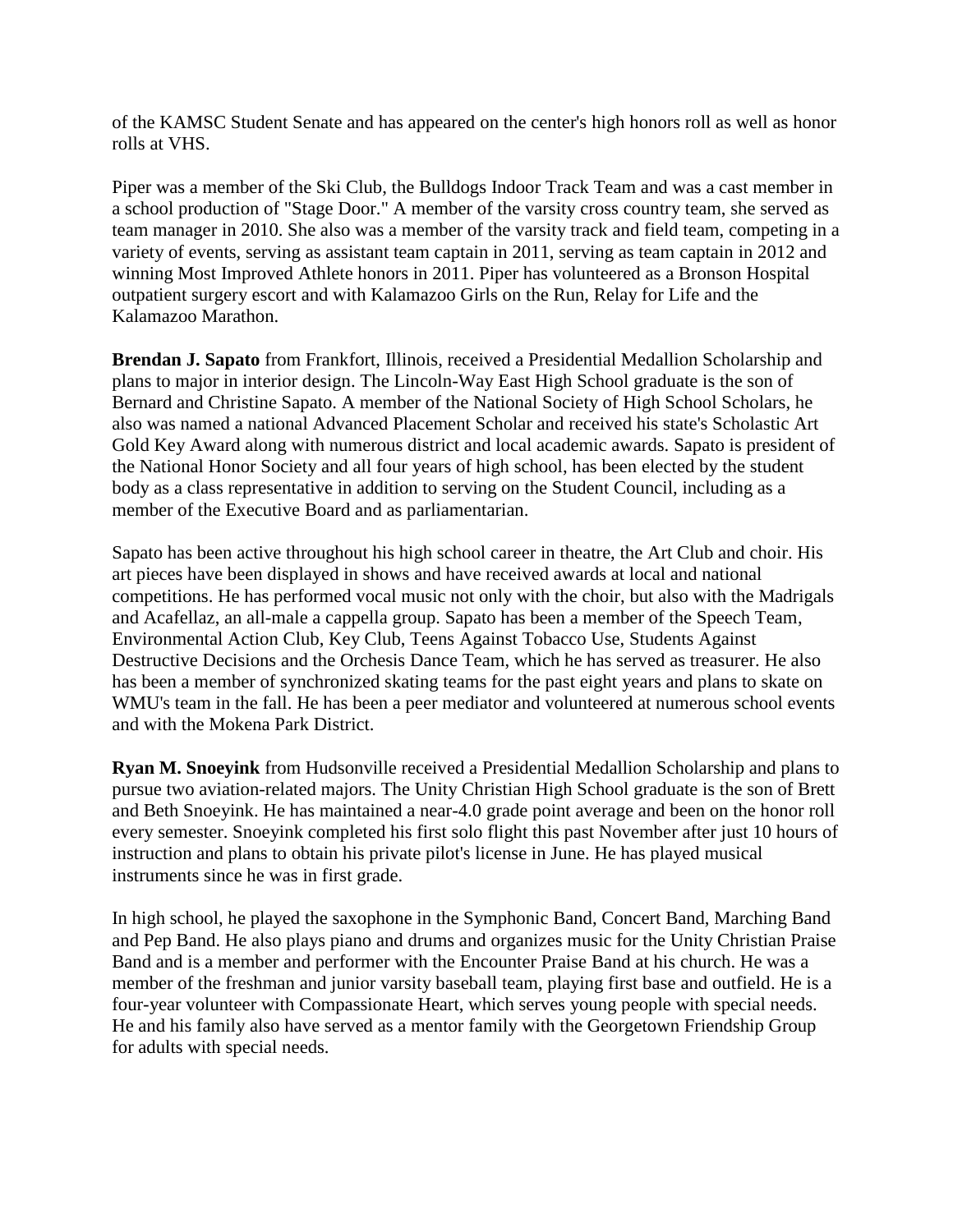of the KAMSC Student Senate and has appeared on the center's high honors roll as well as honor rolls at VHS.

Piper was a member of the Ski Club, the Bulldogs Indoor Track Team and was a cast member in a school production of "Stage Door." A member of the varsity cross country team, she served as team manager in 2010. She also was a member of the varsity track and field team, competing in a variety of events, serving as assistant team captain in 2011, serving as team captain in 2012 and winning Most Improved Athlete honors in 2011. Piper has volunteered as a Bronson Hospital outpatient surgery escort and with Kalamazoo Girls on the Run, Relay for Life and the Kalamazoo Marathon.

**Brendan J. Sapato** from Frankfort, Illinois, received a Presidential Medallion Scholarship and plans to major in interior design. The Lincoln-Way East High School graduate is the son of Bernard and Christine Sapato. A member of the National Society of High School Scholars, he also was named a national Advanced Placement Scholar and received his state's Scholastic Art Gold Key Award along with numerous district and local academic awards. Sapato is president of the National Honor Society and all four years of high school, has been elected by the student body as a class representative in addition to serving on the Student Council, including as a member of the Executive Board and as parliamentarian.

Sapato has been active throughout his high school career in theatre, the Art Club and choir. His art pieces have been displayed in shows and have received awards at local and national competitions. He has performed vocal music not only with the choir, but also with the Madrigals and Acafellaz, an all-male a cappella group. Sapato has been a member of the Speech Team, Environmental Action Club, Key Club, Teens Against Tobacco Use, Students Against Destructive Decisions and the Orchesis Dance Team, which he has served as treasurer. He also has been a member of synchronized skating teams for the past eight years and plans to skate on WMU's team in the fall. He has been a peer mediator and volunteered at numerous school events and with the Mokena Park District.

**Ryan M. Snoeyink** from Hudsonville received a Presidential Medallion Scholarship and plans to pursue two aviation-related majors. The Unity Christian High School graduate is the son of Brett and Beth Snoeyink. He has maintained a near-4.0 grade point average and been on the honor roll every semester. Snoeyink completed his first solo flight this past November after just 10 hours of instruction and plans to obtain his private pilot's license in June. He has played musical instruments since he was in first grade.

In high school, he played the saxophone in the Symphonic Band, Concert Band, Marching Band and Pep Band. He also plays piano and drums and organizes music for the Unity Christian Praise Band and is a member and performer with the Encounter Praise Band at his church. He was a member of the freshman and junior varsity baseball team, playing first base and outfield. He is a four-year volunteer with Compassionate Heart, which serves young people with special needs. He and his family also have served as a mentor family with the Georgetown Friendship Group for adults with special needs.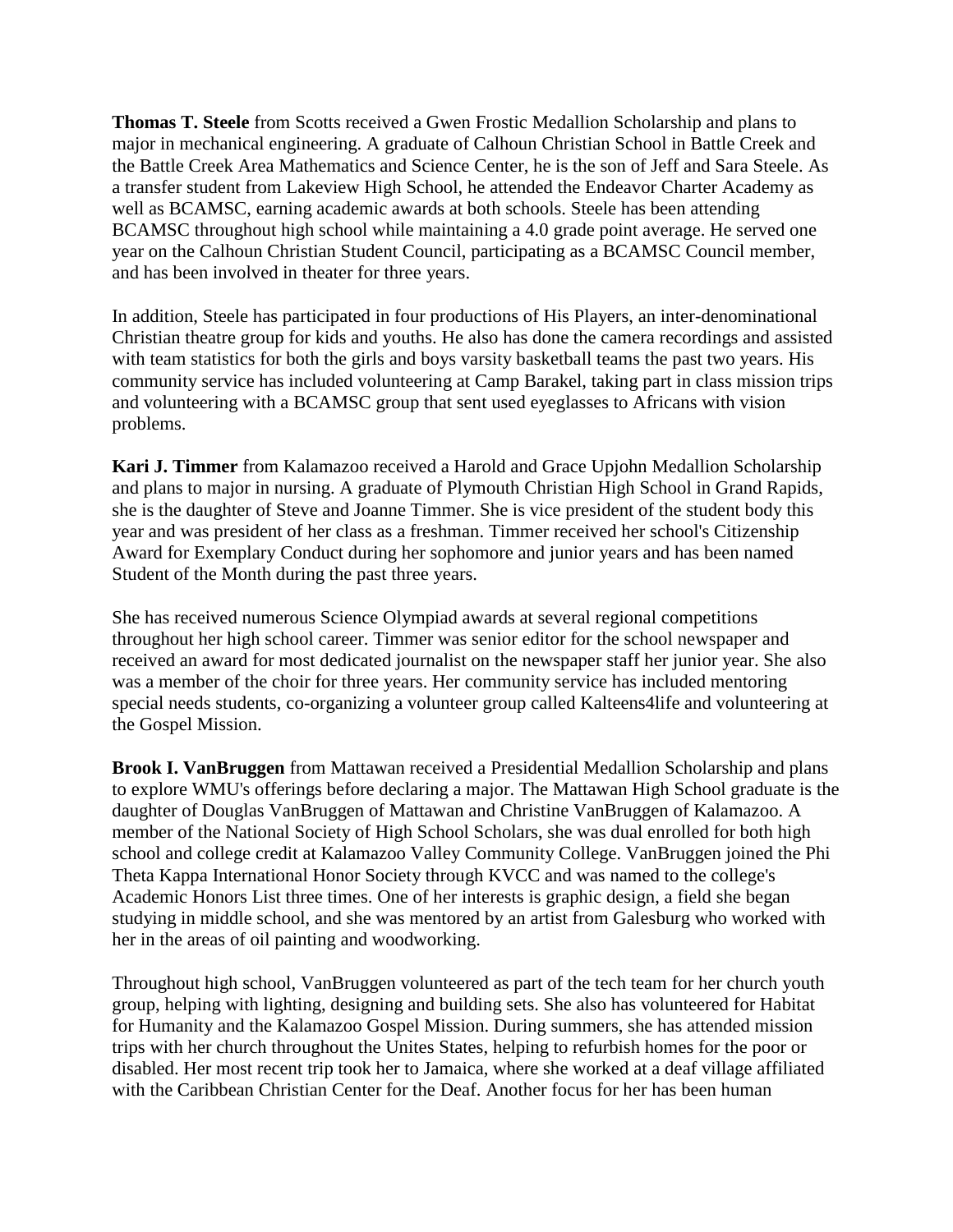**Thomas T. Steele** from Scotts received a Gwen Frostic Medallion Scholarship and plans to major in mechanical engineering. A graduate of Calhoun Christian School in Battle Creek and the Battle Creek Area Mathematics and Science Center, he is the son of Jeff and Sara Steele. As a transfer student from Lakeview High School, he attended the Endeavor Charter Academy as well as BCAMSC, earning academic awards at both schools. Steele has been attending BCAMSC throughout high school while maintaining a 4.0 grade point average. He served one year on the Calhoun Christian Student Council, participating as a BCAMSC Council member, and has been involved in theater for three years.

In addition, Steele has participated in four productions of His Players, an inter-denominational Christian theatre group for kids and youths. He also has done the camera recordings and assisted with team statistics for both the girls and boys varsity basketball teams the past two years. His community service has included volunteering at Camp Barakel, taking part in class mission trips and volunteering with a BCAMSC group that sent used eyeglasses to Africans with vision problems.

**Kari J. Timmer** from Kalamazoo received a Harold and Grace Upjohn Medallion Scholarship and plans to major in nursing. A graduate of Plymouth Christian High School in Grand Rapids, she is the daughter of Steve and Joanne Timmer. She is vice president of the student body this year and was president of her class as a freshman. Timmer received her school's Citizenship Award for Exemplary Conduct during her sophomore and junior years and has been named Student of the Month during the past three years.

She has received numerous Science Olympiad awards at several regional competitions throughout her high school career. Timmer was senior editor for the school newspaper and received an award for most dedicated journalist on the newspaper staff her junior year. She also was a member of the choir for three years. Her community service has included mentoring special needs students, co-organizing a volunteer group called Kalteens4life and volunteering at the Gospel Mission.

**Brook I. VanBruggen** from Mattawan received a Presidential Medallion Scholarship and plans to explore WMU's offerings before declaring a major. The Mattawan High School graduate is the daughter of Douglas VanBruggen of Mattawan and Christine VanBruggen of Kalamazoo. A member of the National Society of High School Scholars, she was dual enrolled for both high school and college credit at Kalamazoo Valley Community College. VanBruggen joined the Phi Theta Kappa International Honor Society through KVCC and was named to the college's Academic Honors List three times. One of her interests is graphic design, a field she began studying in middle school, and she was mentored by an artist from Galesburg who worked with her in the areas of oil painting and woodworking.

Throughout high school, VanBruggen volunteered as part of the tech team for her church youth group, helping with lighting, designing and building sets. She also has volunteered for Habitat for Humanity and the Kalamazoo Gospel Mission. During summers, she has attended mission trips with her church throughout the Unites States, helping to refurbish homes for the poor or disabled. Her most recent trip took her to Jamaica, where she worked at a deaf village affiliated with the Caribbean Christian Center for the Deaf. Another focus for her has been human